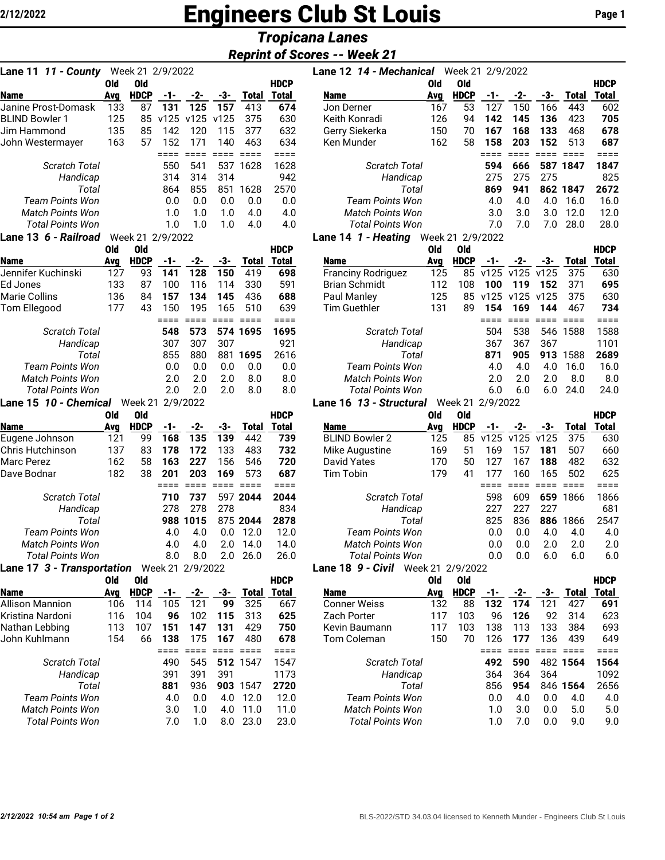# **2/12/2022 Engineers Club St Louis Page 1**

## *Tropicana Lanes*

### *Reprint of Scores -- Week 21*

| <b>Lane 11 11 - County</b> Week 21 2/9/2022 |                   |                    |              |                        |                   |                     |                     | Lane 12 14 - Mechanical Week 21 2/9/2022 |            |                           |               |                    |                        |                        |                    |
|---------------------------------------------|-------------------|--------------------|--------------|------------------------|-------------------|---------------------|---------------------|------------------------------------------|------------|---------------------------|---------------|--------------------|------------------------|------------------------|--------------------|
|                                             | Old               | Old                |              |                        |                   |                     | <b>HDCP</b>         |                                          | <b>Old</b> | <b>Old</b>                |               |                    |                        |                        | <b>HDCF</b>        |
| Name                                        | Avg               | <b>HDCP</b>        | -1-          | -2-                    | -3-               |                     | <b>Total Total</b>  | <b>Name</b>                              | Avg        | <b>HDCP</b>               | -1-           | -2-                | -3-                    | <b>Total</b>           | <b>Total</b>       |
| Janine Prost-Domask                         | 133               | 87                 | 131          | 125                    | 157               | 413                 | 674                 | Jon Derner                               | 167        | 53                        | 127           | 150                | 166                    | 443                    | 60                 |
| <b>BLIND Bowler 1</b>                       | 125               |                    | 85 v125      | v125                   | v125              | 375                 | 630                 | Keith Konradi                            | 126        | 94                        | 142           | 145                | 136                    | 423                    | 70                 |
| Jim Hammond                                 | 135               | 85                 | 142          | 120                    | 115               | 377                 | 632                 | Gerry Siekerka                           | 150        | 70                        | 167           | 168                | 133                    | 468                    | 67                 |
| John Westermayer                            | 163               | 57                 | 152<br>====  | 171<br>$=$ $=$ $=$ $=$ | 140               | 463                 | 634<br>$====$       | Ken Munder                               | 162        | 58                        | 158<br>$====$ | 203<br>$=$ $=$ $=$ | 152<br>$=$ $=$ $=$ $=$ | 513<br>$=$ $=$ $=$ $=$ | 68<br>$==$         |
| Scratch Total                               |                   |                    | 550          | 541                    |                   | 537 1628            | 1628                | Scratch Total                            |            |                           | 594           | 666                |                        | 587 1847               | 184                |
| Handicap                                    |                   |                    | 314          | 314                    | 314               |                     | 942                 | Handicap                                 |            |                           | 275           | 275                | 275                    |                        | 82                 |
| Total                                       |                   |                    | 864          | 855                    |                   | 851 1628            | 2570                | Total                                    |            |                           | 869           | 941                |                        | 862 1847               | 267                |
| <b>Team Points Won</b>                      |                   |                    | 0.0          | 0.0                    | 0.0               | 0.0                 | 0.0                 | <b>Team Points Won</b>                   |            |                           | 4.0           | 4.0                | 4.0                    | 16.0                   | 16.1               |
| Match Points Won                            |                   |                    | 1.0          | 1.0                    | 1.0               | 4.0                 | 4.0                 | Match Points Won                         |            |                           | 3.0           | 3.0                | 3.0                    | 12.0                   | 12.1               |
| <b>Total Points Won</b>                     |                   |                    | 1.0          | 1.0                    | 1.0               | 4.0                 | 4.0                 | <b>Total Points Won</b>                  |            |                           | 7.0           | 7.0                | 7.0                    | 28.0                   | 28.1               |
| Lane 13 6 - Railroad                        |                   | Week 21 2/9/2022   |              |                        |                   |                     |                     | Lane 14 1 - Heating Week 21 2/9/2022     |            |                           |               |                    |                        |                        |                    |
|                                             | Old               | Old                |              |                        |                   |                     | <b>HDCP</b>         |                                          | Old        | <b>Old</b>                |               |                    |                        |                        | <b>HDCF</b>        |
| <b>Name</b>                                 | Avg               | <b>HDCP</b>        | $-1-$        | -2-                    | -3-               | <b>Total</b>        | <b>Total</b>        | Name                                     | Avg        | <b>HDCP</b>               | -1-           | -2-                | -3-                    | <b>Total</b>           | <b>Total</b>       |
| Jennifer Kuchinski                          | 127               | 93                 | 141          | 128                    | 150               | 419                 | 698                 | <b>Franciny Rodriguez</b>                | 125        | 85                        | v125          | v125               | v125                   | 375                    | 63                 |
| Ed Jones                                    | 133               | 87                 | 100          | 116                    | 114               | 330                 | 591                 | <b>Brian Schmidt</b>                     | 112        | 108                       | 100           | 119                | 152                    | 371                    | 69                 |
| Marie Collins                               | 136               | 84                 | 157          | 134                    | 145               | 436                 | 688                 | Paul Manley                              | 125        | 85                        | v125          | v125 v125          |                        | 375                    | 63                 |
| Tom Ellegood                                | 177               | 43                 | 150          | 195                    | 165               | 510                 | 639                 | <b>Tim Guethler</b>                      | 131        | 89                        | 154           | 169                | 144                    | 467                    | 73 <sub>4</sub>    |
|                                             |                   |                    |              | ==== ====              |                   |                     | $====$              |                                          |            |                           | $====$        | $=$ $=$ $=$        | <b>EDDE BEER</b>       |                        | $==$               |
| <b>Scratch Total</b>                        |                   |                    | 548          | 573                    |                   | 574 1695            | 1695                | <b>Scratch Total</b>                     |            |                           | 504           | 538                |                        | 546 1588               | 158                |
| Handicap                                    |                   |                    | 307          | 307                    | 307               |                     | 921                 | Handicap                                 |            |                           | 367           | 367                | 367                    |                        | 110                |
| Total<br><b>Team Points Won</b>             |                   |                    | 855<br>0.0   | 880<br>0.0             | 0.0               | 881 1695<br>0.0     | 2616<br>0.0         | Total<br><b>Team Points Won</b>          |            |                           | 871<br>4.0    | 905<br>4.0         | 913<br>4.0             | 1588<br>16.0           | 268<br>16.1        |
| Match Points Won                            |                   |                    | 2.0          | 2.0                    | 2.0               | 8.0                 | 8.0                 | Match Points Won                         |            |                           | 2.0           | 2.0                | 2.0                    | 8.0                    | 8.1                |
| <b>Total Points Won</b>                     |                   |                    | 2.0          | 2.0                    | 2.0               | 8.0                 | 8.0                 | <b>Total Points Won</b>                  |            |                           | 6.0           | 6.0                | 6.0                    | 24.0                   | 24.1               |
| Lane 15 10 - Chemical                       |                   | Week 21            |              | 2/9/2022               |                   |                     |                     | Lane 16 13 - Structural                  |            | Week 21 2/9/2022          |               |                    |                        |                        |                    |
|                                             | Old               | Old                |              |                        |                   |                     | <b>HDCP</b>         |                                          | <b>Old</b> | Old                       |               |                    |                        |                        | <b>HDCF</b>        |
| Name                                        | Avg               | <b>HDCP</b>        | $-1-$        | $-2-$                  | -3-               | <b>Total</b>        | Total               | Name                                     | Avg        | <b>HDCP</b>               | -1-           | -2-                | -3-                    | <b>Total</b>           | Total              |
| Eugene Johnson                              | 121               | 99                 | 168          | 135                    | 139               | 442                 | 739                 | <b>BLIND Bowler 2</b>                    | 125        | 85                        | v125          | v125               | v125                   | 375                    | 63                 |
| Chris Hutchinson                            | 137               | 83                 | 178          | 172                    | 133               | 483                 | 732                 | Mike Augustine                           | 169        | 51                        | 169           | 157                | 181                    | 507                    | 66                 |
| Marc Perez                                  | 162               | 58                 | 163          | 227                    | 156               | 546                 | 720                 | <b>David Yates</b>                       | 170        | 50                        | 127           | 167                | 188                    | 482                    | 63                 |
| Dave Bodnar                                 | 182               | 38                 | 201          | 203                    | 169               | 573                 | 687                 | <b>Tim Tobin</b>                         | 179        | 41                        | 177           | 160                | 165                    | 502                    | 62                 |
|                                             |                   |                    |              | ==== ====              | $= 2222$ $= 2222$ |                     | $== ==$             |                                          |            |                           | $====$        |                    | <b>==== ==== ====</b>  |                        | $==$               |
| Scratch Total                               |                   |                    | 710          | 737                    |                   | 597 2044            | 2044                | <b>Scratch Total</b>                     |            |                           | 598           | 609                | 659                    | 1866                   | 186                |
| Handicap                                    |                   |                    | 278          | 278                    | 278               |                     | 834                 | Handicap                                 |            |                           | 227           | 227                | 227                    |                        | 68                 |
| Total                                       |                   |                    |              | 988 1015               |                   | 875 2044            | 2878                | Total                                    |            |                           | 825           | 836                | 886                    | 1866                   | 254                |
| <b>Team Points Won</b>                      |                   |                    | 4.0          | 4.0                    | 0.0               | 12.0                | 12.0                | <b>Team Points Won</b>                   |            |                           | 0.0           | 0.0                | 4.0                    | 4.0                    | 4.1                |
| Match Points Won                            |                   |                    | 4.0          | 4.0                    | 2.0               | 14.0                | 14.0                | Match Points Won                         |            |                           | 0.0           | 0.0                | 2.0                    | 2.0                    | 2.1                |
| <b>Total Points Won</b>                     |                   |                    | 8.0          | 8.0                    | 2.0               | 26.0                | 26.0                | <b>Total Points Won</b>                  |            |                           | 0.0           | 0.0                | 6.0                    | 6.0                    | 6.1                |
| Lane 17 3 - Transportation Week 21 2/9/2022 |                   |                    |              |                        |                   |                     |                     | Lane 18 9 - Civil Week 21 2/9/2022       |            |                           |               |                    |                        |                        |                    |
|                                             | 0ld               | 0ld                |              |                        |                   |                     | <b>HDCP</b>         |                                          | <b>Old</b> | <b>Old</b><br><b>HDCP</b> |               |                    |                        |                        | <b>HDCF</b>        |
| <b>Name</b><br>Allison Mannion              | <b>Avg</b><br>106 | <b>HDCP</b><br>114 | $-1-$<br>105 | -2-<br>121             | -3-<br>99         | <b>Total</b><br>325 | <b>Total</b><br>667 | <b>Name</b><br><b>Conner Weiss</b>       | Avg<br>132 | 88                        | -1-<br>132    | -2-<br>174         | -3-<br>121             | <u>Total</u><br>427    | <u>Total</u><br>69 |
| Kristina Nardoni                            | 116               | 104                | 96           | 102                    | 115               | 313                 | 625                 | Zach Porter                              | 117        | 103                       | 96            | 126                | 92                     | 314                    | 62                 |
| Nathan Lebbing                              | 113               | 107                | 151          | 147                    | 131               | 429                 | 750                 | Kevin Baumann                            | 117        | 103                       | 138           | 113                | 133                    | 384                    | 69                 |
| John Kuhlmann                               | 154               | 66                 | 138          | 175                    | 167               | 480                 | 678                 | Tom Coleman                              | 150        | 70                        | 126           | 177                | 136                    | 439                    | 64                 |
|                                             |                   |                    | $====$       | $=$ $=$ $=$ $=$        | $=$ $=$ $=$ $=$   | $====$              | ====                |                                          |            |                           | $====$        |                    | $== ==$                | $=$ $=$ $=$ $=$        | $==$               |
| <b>Scratch Total</b>                        |                   |                    | 490          | 545                    |                   | 512 1547            | 1547                | <b>Scratch Total</b>                     |            |                           | 492           | 590                |                        | 482 1564               | 156                |
| Handicap                                    |                   |                    | 391          | 391                    | 391               |                     | 1173                | Handicap                                 |            |                           | 364           | 364                | 364                    |                        | 109                |
| Total                                       |                   |                    | 881          | 936                    |                   | 903 1547            | 2720                | Total                                    |            |                           | 856           | 954                |                        | 846 1564               | 265                |
| <b>Team Points Won</b>                      |                   |                    | 4.0          | 0.0                    | 4.0               | 12.0                | 12.0                | <b>Team Points Won</b>                   |            |                           | 0.0           | 4.0                | 0.0                    | 4.0                    | 4.1                |
| <b>Match Points Won</b>                     |                   |                    | 3.0          | 1.0                    | 4.0               | 11.0                | 11.0                | <b>Match Points Won</b>                  |            |                           | 1.0           | 3.0                | 0.0                    | 5.0                    | 5.1                |
| <b>Total Points Won</b>                     |                   |                    | 7.0          | 1.0                    |                   | 8.0 23.0            | 23.0                | <b>Total Points Won</b>                  |            |                           | 1.0           | 7.0                | 0.0                    | 9.0                    | 9.1                |

| Lane 11 11 - County     |     | Week 21 2/9/2022        |      |      |      |              |              | Lane 12 14 - Mechanical                   |     | Week 21 2/9/2022 |     |     |     |          |             |
|-------------------------|-----|-------------------------|------|------|------|--------------|--------------|-------------------------------------------|-----|------------------|-----|-----|-----|----------|-------------|
|                         | Old | 0ld                     |      |      |      |              | <b>HDCP</b>  |                                           | Old | 0ld              |     |     |     |          | <b>HDCP</b> |
| <b>Name</b>             | Avg | <b>HDCP</b>             | -1-  | -2-  | -3-  | <b>Total</b> | <b>Total</b> | <b>Name</b>                               | Ava | <b>HDCP</b>      | -1- | -2- | -3- | Total    | Total       |
| Janine Prost-Domask     | 133 | 87                      | 131  | 125  | 157  | 413          | 674          | Jon Derner                                | 167 | 53               | 127 | 150 | 166 | 443      | 602         |
| <b>BLIND Bowler 1</b>   | 125 | 85                      | v125 | v125 | v125 | 375          | 630          | Keith Konradi                             | 126 | 94               | 142 | 145 | 136 | 423      | 705         |
| Jim Hammond             | 135 | 85                      | 142  | 120  | 115  | 377          | 632          | Gerry Siekerka                            | 150 | 70               | 167 | 168 | 133 | 468      | 678         |
| John Westermayer        | 163 | 57                      | 152  | 171  | 140  | 463          | 634          | Ken Munder                                | 162 | 58               | 158 | 203 | 152 | 513      | 687         |
|                         |     |                         |      |      |      |              | ====         |                                           |     |                  |     |     |     |          |             |
| <b>Scratch Total</b>    |     |                         | 550  | 541  | 537  | 1628         | 1628         | <b>Scratch Total</b>                      |     |                  | 594 | 666 |     | 587 1847 | 1847        |
| Handicap                |     |                         | 314  | 314  | 314  |              | 942          | Handicap                                  |     |                  | 275 | 275 | 275 |          | 825         |
| Total                   |     |                         | 864  | 855  | 851  | 1628         | 2570         | Total                                     |     |                  | 869 | 941 |     | 862 1847 | 2672        |
| <b>Team Points Won</b>  |     |                         | 0.0  | 0.0  | 0.0  | 0.0          | 0.0          | Team Points Won                           |     |                  | 4.0 | 4.0 | 4.0 | 16.0     | 16.0        |
| <b>Match Points Won</b> |     |                         | 1.0  | 1.0  | 1.0  | 4.0          | 4.0          | <b>Match Points Won</b>                   |     |                  | 3.0 | 3.0 | 3.0 | 12.0     | 12.0        |
| <b>Total Points Won</b> |     |                         | 1.0  | 1.0  | 1.0  | 4.0          | 4.0          | <b>Total Points Won</b>                   |     |                  | 7.0 | 7.0 | 7.0 | 28.0     | 28.0        |
| ang 12 6 - Dailroed     |     | $M_{\odot}$ 21 2/0/2022 |      |      |      |              |              | <b>ang 1.4. Leating</b> Week 21, 2/0/2022 |     |                  |     |     |     |          |             |

#### **Lane 14** *1 - Heating* Week 21 2/9/2022

|                         | Old | 0ld         |     |     |     |              | <b>HDCP</b>  |                           | old | 0ld         |      |           |      |       | <b>HDCP</b> |
|-------------------------|-----|-------------|-----|-----|-----|--------------|--------------|---------------------------|-----|-------------|------|-----------|------|-------|-------------|
| <b>Name</b>             | Ava | <b>HDCP</b> | -1- | -2- | -3- | <b>Total</b> | <b>Total</b> | <b>Name</b>               | Avg | <b>HDCP</b> | -1-  | -2-       | -3-  | Total | Total       |
| Jennifer Kuchinski      | 127 | 93          | 141 | 128 | 150 | 419          | 698          | <b>Franciny Rodriguez</b> | 125 | 85          | v125 | v125      | v125 | 375   | 630         |
| Ed Jones                | 133 | 87          | 100 | 116 | 114 | 330          | 591          | <b>Brian Schmidt</b>      | 112 | 108         | 100  | 119       | 152  | 371   | 695         |
| Marie Collins           | 136 | 84          | 157 | 134 | 145 | 436          | 688          | Paul Manley               | 125 | 85          | v125 | v125 v125 |      | 375   | 630         |
| Tom Ellegood            | 177 | 43          | 150 | 195 | 165 | 510          | 639          | <b>Tim Guethler</b>       | 131 | 89          | 154  | 169       | 144  | 467   | 734         |
|                         |     |             |     |     |     |              |              |                           |     |             |      |           |      |       |             |
| Scratch Total           |     |             | 548 | 573 |     | 574 1695     | 1695         | <b>Scratch Total</b>      |     |             | 504  | 538       | 546  | 1588  | 1588        |
| Handicap                |     |             | 307 | 307 | 307 |              | 921          | Handicap                  |     |             | 367  | 367       | 367  |       | 1101        |
| Total                   |     |             | 855 | 880 | 881 | 1695         | 2616         | Total                     |     |             | 871  | 905       | 913  | 1588  | 2689        |
| Team Points Won         |     |             | 0.0 | 0.0 | 0.0 | 0.0          | 0.0          | Team Points Won           |     |             | 4.0  | 4.0       | 4.0  | 16.0  | 16.0        |
| <b>Match Points Won</b> |     |             | 2.0 | 2.0 | 2.0 | 8.0          | 8.0          | <b>Match Points Won</b>   |     |             | 2.0  | 2.0       | 2.0  | 8.0   | 8.0         |
| <b>Total Points Won</b> |     |             | 2.0 | 2.0 | 2.0 | 8.0          | 8.0          | Total Points Won          |     |             | 6.0  | 6.0       | 6.0  | 24.0  | 24.0        |
|                         |     |             |     |     |     |              |              |                           |     |             |      |           |      |       |             |

#### **Lane 16** *13 - Structural* Week 21 2/9/2022

|                                               | Old | 0ld         |     |       |                        |                  | <b>HDCP</b>  |                         | Old | 0ld         |      |      |      |              | <b>HDCP</b> |
|-----------------------------------------------|-----|-------------|-----|-------|------------------------|------------------|--------------|-------------------------|-----|-------------|------|------|------|--------------|-------------|
| <b>Name</b>                                   | Avg | <b>HDCP</b> | -1- | $-2-$ | -3-                    | <b>Total</b>     | <b>Total</b> | <b>Name</b>             | Ava | <b>HDCP</b> | -1-  | -2-  | -3-  | <b>Fotal</b> | Total       |
| Eugene Johnson                                | 121 | 99          | 168 | 135   | 139                    | 442              | 739          | <b>BLIND Bowler 2</b>   | 125 | 85          | v125 | v125 | v125 | 375          | 630         |
| Chris Hutchinson                              | 137 | 83          | 178 | 172   | 133                    | 483              | 732          | Mike Augustine          | 169 | 51          | 169  | 157  | 181  | 507          | 660         |
| Marc Perez                                    | 162 | 58          | 163 | 227   | 156                    | 546              | 720          | David Yates             | 170 | 50          | 127  | 167  | 188  | 482          | 632         |
| Dave Bodnar                                   | 182 | 38          | 201 | 203   | 169                    | 573              | 687          | Tim Tobin               | 179 | 41          | 177  | 160  | 165  | 502          | 625         |
|                                               |     |             |     |       |                        |                  |              |                         |     |             |      |      |      |              |             |
| Scratch Total                                 |     |             | 710 | 737   |                        | 597 2044         | 2044         | <b>Scratch Total</b>    |     |             | 598  | 609  | 659  | 1866         | 1866        |
| Handicap                                      |     |             | 278 | 278   | 278                    |                  | 834          | Handicap                |     |             | 227  | 227  | 227  |              | 681         |
| Total                                         |     |             | 988 | 1015  |                        | 875 2044         | 2878         | Total                   |     |             | 825  | 836  | 886  | 1866         | 2547        |
| Team Points Won                               |     |             | 4.0 | 4.0   | 0.0                    | 12.0             | 12.0         | Team Points Won         |     | 0.0         | 0.0  | 4.0  | 4.0  | 4.0          |             |
| Match Points Won                              |     |             | 4.0 | 4.0   | 2.0                    | 14.0             | 14.0         | <b>Match Points Won</b> |     |             | 0.0  | 0.0  | 2.0  | 2.0          | 2.0         |
| <b>Total Points Won</b>                       |     |             | 8.0 | 8.0   | 2.0                    | 26.0             | 26.0         | Total Points Won        |     |             | 0.0  | 0.0  | 6.0  | 6.0          | 6.0         |
| ano 17 2 . Trancportation<br>Mook 21 2/0/2022 |     |             |     |       | 0 - Civil<br>ano 1 $9$ | Maak 21 2/0/2022 |              |                         |     |             |      |      |      |              |             |

#### **Lane 18** *9 - Civil* Week 21 2/9/2022

| Old | 0ld         |     |     |     |          | <b>HDCP</b> |                      | Old | 0ld         |     |     |     |          | <b>HDCP</b> |
|-----|-------------|-----|-----|-----|----------|-------------|----------------------|-----|-------------|-----|-----|-----|----------|-------------|
| Avg | <b>HDCP</b> | -1- | -2- | -3- | Total    | Total       | <b>Name</b>          | Avg | <b>HDCP</b> | -1- | -2- | -3- | Total    | Total       |
| 106 | 14          | 105 | 121 | 99  | 325      | 667         | <b>Conner Weiss</b>  | 132 | 88          | 132 | 174 | 121 | 427      | 691         |
| 116 | 104         | 96  | 102 | 115 | 313      | 625         | Zach Porter          | 117 | 103         | 96  | 126 | 92  | 314      | 623         |
| 113 | 107         | 151 | 147 | 131 | 429      | 750         | Kevin Baumann        | 117 | 103         | 138 | 113 | 133 | 384      | 693         |
| 154 | 66          | 138 | 175 | 167 | 480      | 678         | Tom Coleman          | 150 | 70          | 126 | 177 | 136 | 439      | 649         |
|     |             |     |     |     |          |             |                      |     |             |     |     |     |          |             |
|     |             | 490 | 545 |     | 512 1547 | 1547        | <b>Scratch Total</b> |     |             | 492 | 590 |     | 482 1564 | 1564        |
|     |             | 391 | 391 | 391 |          | 1173        | Handicap             |     |             | 364 | 364 | 364 |          | 1092        |
|     |             | 881 | 936 |     | 903 1547 | 2720        | Total                |     |             | 856 | 954 |     | 846 1564 | 2656        |
|     |             | 4.0 | 0.0 | 4.0 | 12.0     | 12.0        | Team Points Won      |     |             | 0.0 | 4.0 | 0.0 | 4.0      | 4.0         |
|     |             | 3.0 | 1.0 | 4.0 | 11.0     | 11.0        | Match Points Won     |     |             | 1.0 | 3.0 | 0.0 | 5.0      | 5.0         |
|     |             | 7.0 | 1.0 | 8.0 | 23.0     | 23.0        | Total Points Won     |     |             | 1.0 | 7.0 | 0.0 | 9.0      | 9.0         |
|     |             |     |     |     |          |             |                      |     |             |     |     |     |          |             |